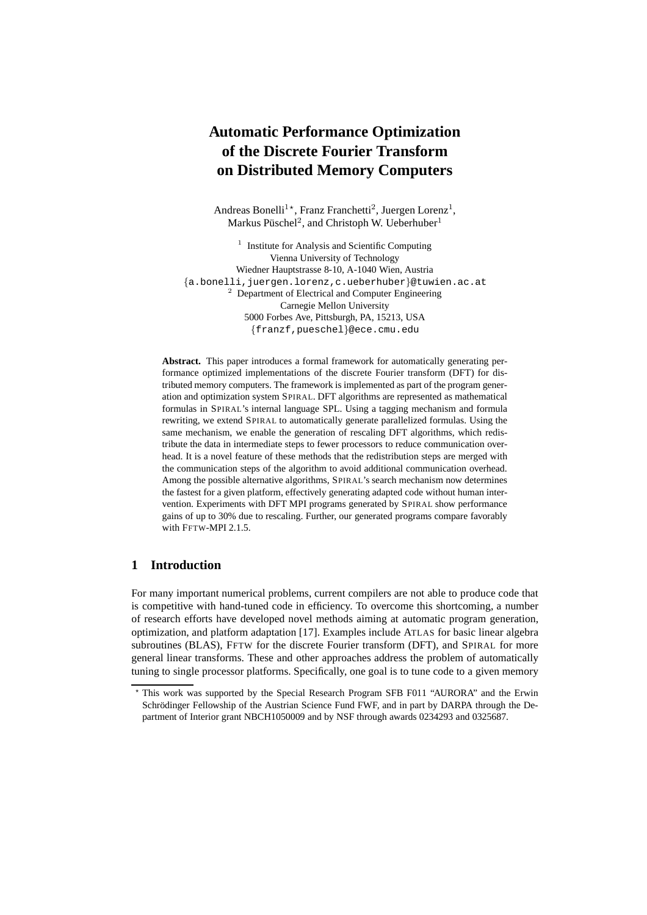# **Automatic Performance Optimization of the Discrete Fourier Transform on Distributed Memory Computers**

Andreas Bonelli<sup>1\*</sup>, Franz Franchetti<sup>2</sup>, Juergen Lorenz<sup>1</sup>, Markus Püschel<sup>2</sup>, and Christoph W. Ueberhuber<sup>1</sup>

<sup>1</sup> Institute for Analysis and Scientific Computing Vienna University of Technology Wiedner Hauptstrasse 8-10, A-1040 Wien, Austria {a.bonelli,juergen.lorenz,c.ueberhuber}@tuwien.ac.at  $2$  Department of Electrical and Computer Engineering Carnegie Mellon University 5000 Forbes Ave, Pittsburgh, PA, 15213, USA {franzf,pueschel}@ece.cmu.edu

**Abstract.** This paper introduces a formal framework for automatically generating performance optimized implementations of the discrete Fourier transform (DFT) for distributed memory computers. The framework is implemented as part of the program generation and optimization system SPIRAL. DFT algorithms are represented as mathematical formulas in SPIRAL's internal language SPL. Using a tagging mechanism and formula rewriting, we extend SPIRAL to automatically generate parallelized formulas. Using the same mechanism, we enable the generation of rescaling DFT algorithms, which redistribute the data in intermediate steps to fewer processors to reduce communication overhead. It is a novel feature of these methods that the redistribution steps are merged with the communication steps of the algorithm to avoid additional communication overhead. Among the possible alternative algorithms, SPIRAL's search mechanism now determines the fastest for a given platform, effectively generating adapted code without human intervention. Experiments with DFT MPI programs generated by SPIRAL show performance gains of up to 30% due to rescaling. Further, our generated programs compare favorably with FFTW-MPI 2.1.5.

# **1 Introduction**

For many important numerical problems, current compilers are not able to produce code that is competitive with hand-tuned code in efficiency. To overcome this shortcoming, a number of research efforts have developed novel methods aiming at automatic program generation, optimization, and platform adaptation [17]. Examples include ATLAS for basic linear algebra subroutines (BLAS), FFTW for the discrete Fourier transform (DFT), and SPIRAL for more general linear transforms. These and other approaches address the problem of automatically tuning to single processor platforms. Specifically, one goal is to tune code to a given memory

<sup>⋆</sup> This work was supported by the Special Research Program SFB F011 "AURORA" and the Erwin Schrödinger Fellowship of the Austrian Science Fund FWF, and in part by DARPA through the Department of Interior grant NBCH1050009 and by NSF through awards 0234293 and 0325687.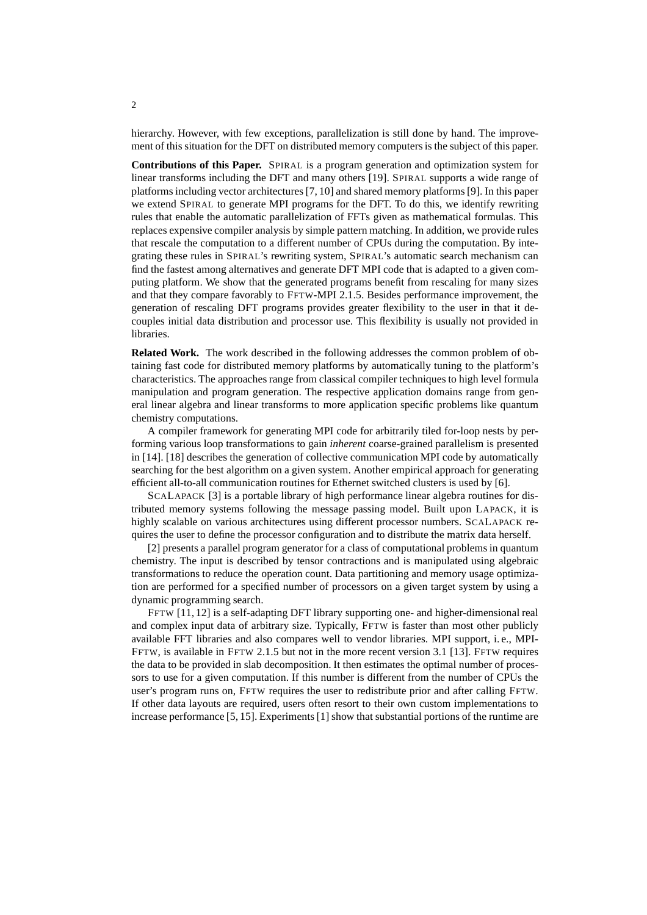hierarchy. However, with few exceptions, parallelization is still done by hand. The improvement of this situation for the DFT on distributed memory computers is the subject of this paper.

**Contributions of this Paper.** SPIRAL is a program generation and optimization system for linear transforms including the DFT and many others [19]. SPIRAL supports a wide range of platforms including vector architectures [7, 10] and shared memory platforms [9]. In this paper we extend SPIRAL to generate MPI programs for the DFT. To do this, we identify rewriting rules that enable the automatic parallelization of FFTs given as mathematical formulas. This replaces expensive compiler analysis by simple pattern matching. In addition, we provide rules that rescale the computation to a different number of CPUs during the computation. By integrating these rules in SPIRAL's rewriting system, SPIRAL's automatic search mechanism can find the fastest among alternatives and generate DFT MPI code that is adapted to a given computing platform. We show that the generated programs benefit from rescaling for many sizes and that they compare favorably to FFTW-MPI 2.1.5. Besides performance improvement, the generation of rescaling DFT programs provides greater flexibility to the user in that it decouples initial data distribution and processor use. This flexibility is usually not provided in libraries.

**Related Work.** The work described in the following addresses the common problem of obtaining fast code for distributed memory platforms by automatically tuning to the platform's characteristics. The approaches range from classical compiler techniques to high level formula manipulation and program generation. The respective application domains range from general linear algebra and linear transforms to more application specific problems like quantum chemistry computations.

A compiler framework for generating MPI code for arbitrarily tiled for-loop nests by performing various loop transformations to gain *inherent* coarse-grained parallelism is presented in [14]. [18] describes the generation of collective communication MPI code by automatically searching for the best algorithm on a given system. Another empirical approach for generating efficient all-to-all communication routines for Ethernet switched clusters is used by [6].

SCALAPACK [3] is a portable library of high performance linear algebra routines for distributed memory systems following the message passing model. Built upon LAPACK, it is highly scalable on various architectures using different processor numbers. SCALAPACK requires the user to define the processor configuration and to distribute the matrix data herself.

[2] presents a parallel program generator for a class of computational problems in quantum chemistry. The input is described by tensor contractions and is manipulated using algebraic transformations to reduce the operation count. Data partitioning and memory usage optimization are performed for a specified number of processors on a given target system by using a dynamic programming search.

FFTW [11, 12] is a self-adapting DFT library supporting one- and higher-dimensional real and complex input data of arbitrary size. Typically, FFTW is faster than most other publicly available FFT libraries and also compares well to vendor libraries. MPI support, i. e., MPI-FFTW, is available in FFTW 2.1.5 but not in the more recent version 3.1 [13]. FFTW requires the data to be provided in slab decomposition. It then estimates the optimal number of processors to use for a given computation. If this number is different from the number of CPUs the user's program runs on, FFTW requires the user to redistribute prior and after calling FFTW. If other data layouts are required, users often resort to their own custom implementations to increase performance [5, 15]. Experiments [1] show that substantial portions of the runtime are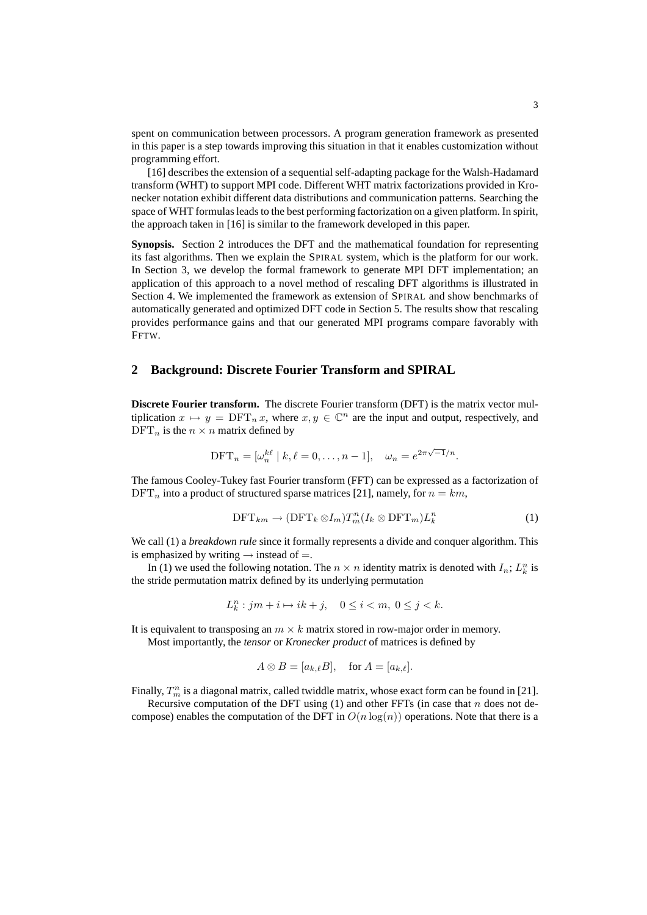spent on communication between processors. A program generation framework as presented in this paper is a step towards improving this situation in that it enables customization without programming effort.

[16] describes the extension of a sequential self-adapting package for the Walsh-Hadamard transform (WHT) to support MPI code. Different WHT matrix factorizations provided in Kronecker notation exhibit different data distributions and communication patterns. Searching the space of WHT formulas leads to the best performing factorization on a given platform. In spirit, the approach taken in [16] is similar to the framework developed in this paper.

**Synopsis.** Section 2 introduces the DFT and the mathematical foundation for representing its fast algorithms. Then we explain the SPIRAL system, which is the platform for our work. In Section 3, we develop the formal framework to generate MPI DFT implementation; an application of this approach to a novel method of rescaling DFT algorithms is illustrated in Section 4. We implemented the framework as extension of SPIRAL and show benchmarks of automatically generated and optimized DFT code in Section 5. The results show that rescaling provides performance gains and that our generated MPI programs compare favorably with FFTW.

## **2 Background: Discrete Fourier Transform and SPIRAL**

**Discrete Fourier transform.** The discrete Fourier transform (DFT) is the matrix vector multiplication  $x \mapsto y = \text{DFT}_n x$ , where  $x, y \in \mathbb{C}^n$  are the input and output, respectively, and  $\text{DFT}_n$  is the  $n \times n$  matrix defined by

$$
\text{DFT}_n = [\omega_n^{k\ell} \mid k, \ell = 0, \dots, n-1], \quad \omega_n = e^{2\pi \sqrt{-1}/n}
$$

The famous Cooley-Tukey fast Fourier transform (FFT) can be expressed as a factorization of  $DFT_n$  into a product of structured sparse matrices [21], namely, for  $n = km$ ,

$$
\text{DFT}_{km} \to (\text{DFT}_k \otimes I_m) T_m^n (I_k \otimes \text{DFT}_m) L_k^n \tag{1}
$$

.

We call (1) a *breakdown rule* since it formally represents a divide and conquer algorithm. This is emphasized by writing  $\rightarrow$  instead of  $=$ .

In (1) we used the following notation. The  $n \times n$  identity matrix is denoted with  $I_n$ ;  $L_k^n$  is the stride permutation matrix defined by its underlying permutation

$$
L_k^n : jm + i \mapsto ik + j, \quad 0 \le i < m, \ 0 \le j < k.
$$

It is equivalent to transposing an  $m \times k$  matrix stored in row-major order in memory. Most importantly, the *tensor* or *Kronecker product* of matrices is defined by

$$
A \otimes B = [a_{k,\ell}B], \quad \text{for } A = [a_{k,\ell}].
$$

Finally,  $T_m^n$  is a diagonal matrix, called twiddle matrix, whose exact form can be found in [21].

Recursive computation of the DFT using  $(1)$  and other FFTs (in case that n does not decompose) enables the computation of the DFT in  $O(n \log(n))$  operations. Note that there is a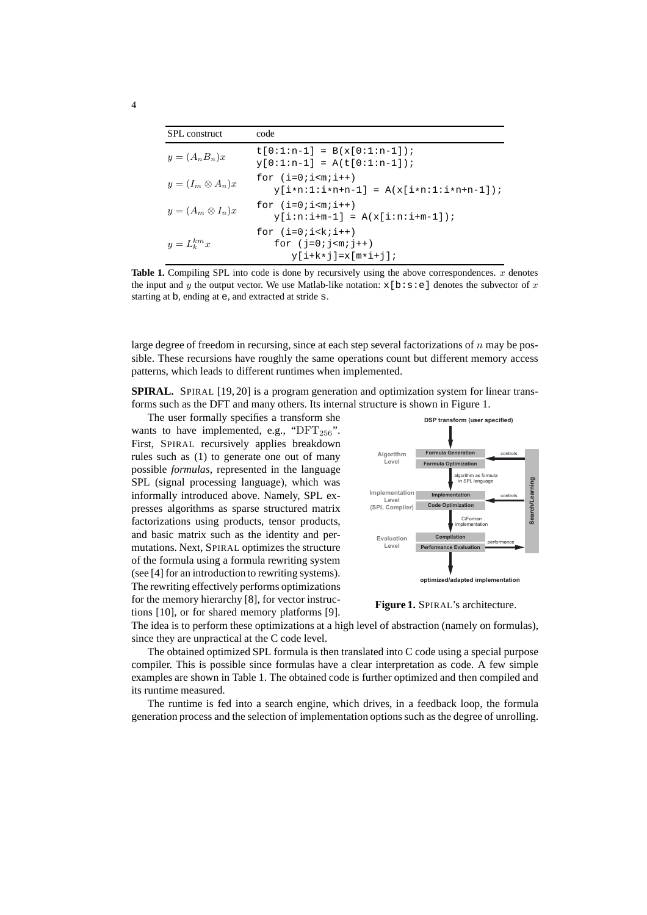| SPL construct         | code                                                                  |
|-----------------------|-----------------------------------------------------------------------|
| $y=(A_nB_n)x$         | $t[0:1:n-1] = B(x[0:1:n-1])$<br>$y[0:1:n-1] = A(t[0:1:n-1])$ ;        |
| $y=(I_m\otimes A_n)x$ | for $(i=0,i\leq m; i++)$<br>$y[i*n:1:i*n+n-1] = A(x[i*n:1:i*n+n-1]);$ |
| $y=(A_m\otimes I_n)x$ | for $(i=0,iy[i:n:i+m-1] = A(x[i:n:i+m-1]);$                           |
| $y = L_k^{km}x$       | for $(i=0,i\le k,i++)$<br>for $(i=0; jy[i+k*1]=x[m*1+1];$             |

**Table 1.** Compiling SPL into code is done by recursively using the above correspondences.  $x$  denotes the input and y the output vector. We use Matlab-like notation:  $x [b:s:e]$  denotes the subvector of x starting at b, ending at e, and extracted at stride s.

large degree of freedom in recursing, since at each step several factorizations of  $n$  may be possible. These recursions have roughly the same operations count but different memory access patterns, which leads to different runtimes when implemented.

**SPIRAL.** SPIRAL [19, 20] is a program generation and optimization system for linear transforms such as the DFT and many others. Its internal structure is shown in Figure 1.

The user formally specifies a transform she wants to have implemented, e.g., " $DFT<sub>256</sub>$ ". First, SPIRAL recursively applies breakdown rules such as (1) to generate one out of many possible *formulas*, represented in the language SPL (signal processing language), which was informally introduced above. Namely, SPL expresses algorithms as sparse structured matrix factorizations using products, tensor products, and basic matrix such as the identity and permutations. Next, SPIRAL optimizes the structure of the formula using a formula rewriting system (see [4] for an introduction to rewriting systems). The rewriting effectively performs optimizations for the memory hierarchy [8], for vector instructions [10], or for shared memory platforms [9].



**Figure 1.** SPIRAL's architecture.

The idea is to perform these optimizations at a high level of abstraction (namely on formulas), since they are unpractical at the C code level.

The obtained optimized SPL formula is then translated into C code using a special purpose compiler. This is possible since formulas have a clear interpretation as code. A few simple examples are shown in Table 1. The obtained code is further optimized and then compiled and its runtime measured.

The runtime is fed into a search engine, which drives, in a feedback loop, the formula generation process and the selection of implementation options such as the degree of unrolling.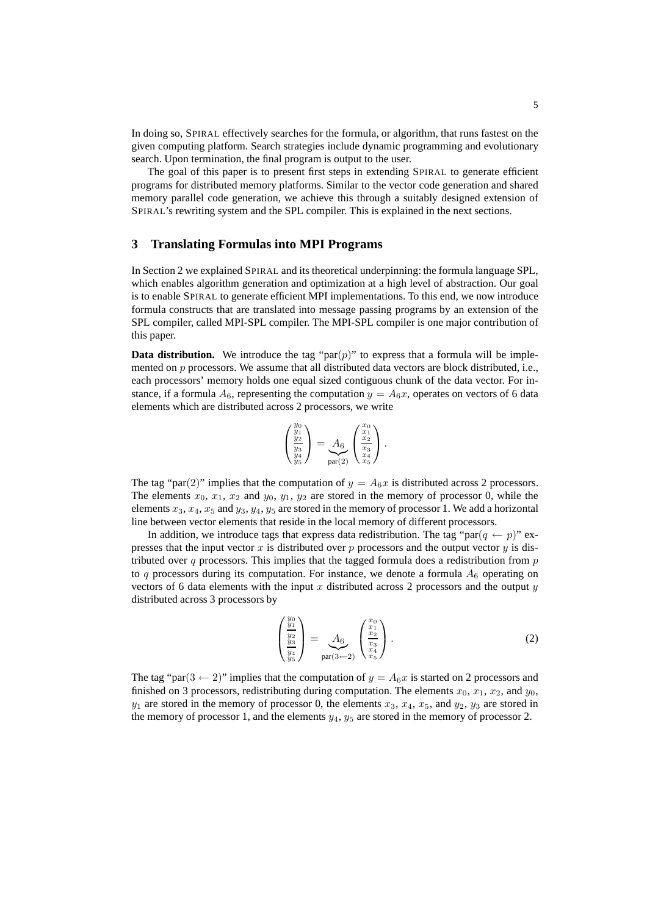In doing so, SPIRAL effectively searches for the formula, or algorithm, that runs fastest on the given computing platform. Search strategies include dynamic programming and evolutionary search. Upon termination, the final program is output to the user.

The goal of this paper is to present first steps in extending SPIRAL to generate efficient programs for distributed memory platforms. Similar to the vector code generation and shared memory parallel code generation, we achieve this through a suitably designed extension of SPIRAL's rewriting system and the SPL compiler. This is explained in the next sections.

## **3 Translating Formulas into MPI Programs**

In Section 2 we explained SPIRAL and its theoretical underpinning: the formula language SPL, which enables algorithm generation and optimization at a high level of abstraction. Our goal is to enable SPIRAL to generate efficient MPI implementations. To this end, we now introduce formula constructs that are translated into message passing programs by an extension of the SPL compiler, called MPI-SPL compiler. The MPI-SPL compiler is one major contribution of this paper.

**Data distribution.** We introduce the tag " $par(p)$ " to express that a formula will be implemented on p processors. We assume that all distributed data vectors are block distributed, i.e., each processors' memory holds one equal sized contiguous chunk of the data vector. For instance, if a formula  $A_6$ , representing the computation  $y = A_6x$ , operates on vectors of 6 data elements which are distributed across 2 processors, we write

$$
\begin{pmatrix} \frac{y_0}{y_1} \\ \frac{y_2}{y_3} \\ \frac{y_3}{y_5} \end{pmatrix} = \underbrace{A_6}_{\text{par}(2)} \begin{pmatrix} \frac{x_0}{x_1} \\ \frac{x_2}{x_3} \\ \frac{x_3}{x_5} \end{pmatrix}.
$$

The tag "par(2)" implies that the computation of  $y = A_6x$  is distributed across 2 processors. The elements  $x_0, x_1, x_2$  and  $y_0, y_1, y_2$  are stored in the memory of processor 0, while the elements  $x_3, x_4, x_5$  and  $y_3, y_4, y_5$  are stored in the memory of processor 1. We add a horizontal line between vector elements that reside in the local memory of different processors.

In addition, we introduce tags that express data redistribution. The tag "par( $q \leftarrow p$ )" expresses that the input vector  $x$  is distributed over  $p$  processors and the output vector  $y$  is distributed over q processors. This implies that the tagged formula does a redistribution from  $p$ to q processors during its computation. For instance, we denote a formula  $A<sub>6</sub>$  operating on vectors of 6 data elements with the input x distributed across 2 processors and the output  $y$ distributed across 3 processors by

$$
\begin{pmatrix}\n\frac{y_0}{y_1} \\
\frac{y_2}{y_3} \\
\frac{y_3}{y_5}\n\end{pmatrix} = \underbrace{A_6}_{\text{par}(3 \leftarrow 2)} \begin{pmatrix}\n\frac{x_0}{x_1} \\
\frac{x_2}{x_3} \\
x_4\n\end{pmatrix}.
$$
\n(2)

The tag "par(3  $\leftarrow$  2)" implies that the computation of  $y = A_6x$  is started on 2 processors and finished on 3 processors, redistributing during computation. The elements  $x_0, x_1, x_2$ , and  $y_0$ ,  $y_1$  are stored in the memory of processor 0, the elements  $x_3, x_4, x_5$ , and  $y_2, y_3$  are stored in the memory of processor 1, and the elements  $y_4$ ,  $y_5$  are stored in the memory of processor 2.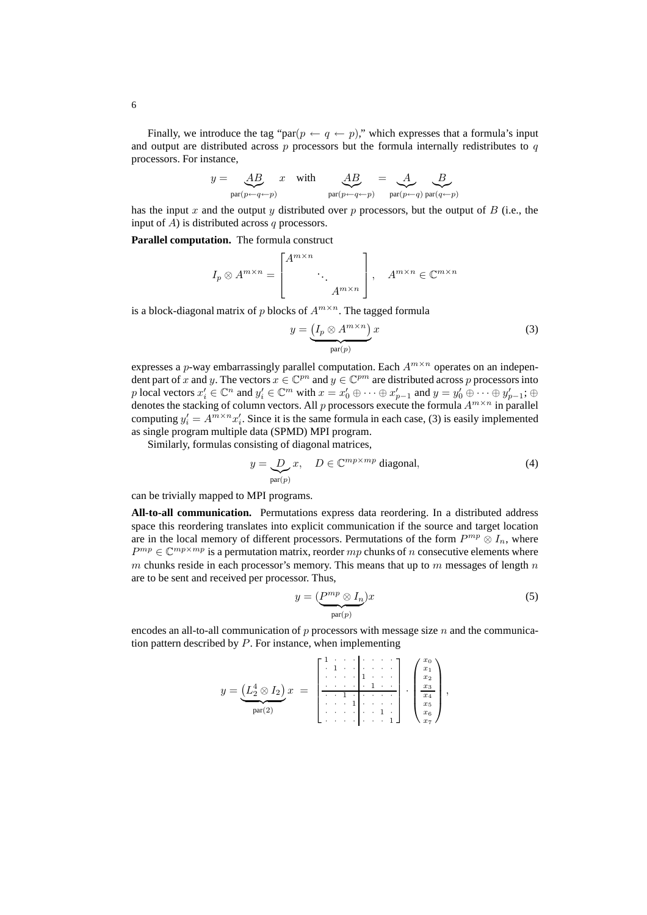Finally, we introduce the tag "par( $p \leftarrow q \leftarrow p$ )," which expresses that a formula's input and output are distributed across  $p$  processors but the formula internally redistributes to  $q$ processors. For instance,

$$
y = \underbrace{AB}_{\text{par}(p \leftarrow q \leftarrow p)} x \quad \text{with} \quad \underbrace{AB}_{\text{par}(p \leftarrow q \leftarrow p)} = \underbrace{A}_{\text{par}(p \leftarrow q) \text{ par}(q \leftarrow p)} B
$$

has the input x and the output y distributed over p processors, but the output of B (i.e., the input of  $A$ ) is distributed across  $q$  processors.

**Parallel computation.** The formula construct

$$
I_p \otimes A^{m \times n} = \begin{bmatrix} A^{m \times n} & & \\ & \ddots & \\ & & A^{m \times n} \end{bmatrix}, \quad A^{m \times n} \in \mathbb{C}^{m \times n}
$$

is a block-diagonal matrix of p blocks of  $A^{m \times n}$ . The tagged formula

$$
y = \underbrace{(I_p \otimes A^{m \times n})}_{\text{par}(p)} x \tag{3}
$$

expresses a p-way embarrassingly parallel computation. Each  $A^{m \times n}$  operates on an independent part of x and y. The vectors  $x \in \mathbb{C}^{pn}$  and  $y \in \mathbb{C}^{pn}$  are distributed across p processors into p local vectors  $x'_i \in \mathbb{C}^n$  and  $y'_i \in \mathbb{C}^m$  with  $x = x'_0 \oplus \cdots \oplus x'_{p-1}$  and  $y = y'_0 \oplus \cdots \oplus y'_{p-1}$ ;  $\oplus$ denotes the stacking of column vectors. All p processors execute the formula  $A^{m \times n}$  in parallel computing  $y_i' = A^{m \times n} x_i'$ . Since it is the same formula in each case, (3) is easily implemented as single program multiple data (SPMD) MPI program.

Similarly, formulas consisting of diagonal matrices,

$$
y = \underbrace{D}_{\text{par}(p)} x, \quad D \in \mathbb{C}^{mp \times mp} \text{ diagonal}, \tag{4}
$$

can be trivially mapped to MPI programs.

**All-to-all communication.** Permutations express data reordering. In a distributed address space this reordering translates into explicit communication if the source and target location are in the local memory of different processors. Permutations of the form  $P^{mp} \otimes I_n$ , where  $P^{mp} \in \mathbb{C}^{mp \times mp}$  is a permutation matrix, reorder mp chunks of n consecutive elements where  $m$  chunks reside in each processor's memory. This means that up to  $m$  messages of length  $n$ are to be sent and received per processor. Thus,

$$
y = \underbrace{(P^{mp} \otimes I_n)}_{\text{par}(p)} x \tag{5}
$$

encodes an all-to-all communication of  $p$  processors with message size  $n$  and the communication pattern described by  $P$ . For instance, when implementing

$$
y = \underbrace{\begin{pmatrix} L_2^4 \otimes I_2 \end{pmatrix}}_{\text{par}(2)} x = \begin{bmatrix} 1 & 1 & 1 & 1 & 1 & 1 & 1 \\ \vdots & 1 & 1 & 1 & 1 & 1 \\ \vdots & \vdots & \vdots & \vdots & \vdots & \vdots \\ \vdots & \vdots & \vdots & \vdots & \vdots \\ \vdots & \vdots & \vdots & \vdots & \vdots \\ \vdots & \vdots & \vdots & \vdots & \vdots \\ \vdots & \vdots & \vdots & \vdots & \vdots \\ \vdots & \vdots & \vdots & \vdots & \vdots \\ \vdots & \vdots & \vdots & \vdots & \vdots \\ \vdots & \vdots & \vdots & \vdots & \vdots \\ \vdots & \vdots & \vdots & \vdots & \vdots \\ \vdots & \vdots & \vdots & \vdots & \vdots \\ \vdots & \vdots & \vdots & \vdots & \vdots \\ \vdots & \vdots & \vdots & \vdots & \vdots \\ \vdots & \vdots & \vdots & \vdots & \vdots \\ \vdots & \vdots & \vdots & \vdots & \vdots \\ \vdots & \vdots & \vdots & \vdots & \vdots \\ \vdots & \vdots & \vdots & \vdots & \vdots \\ \vdots & \vdots & \vdots & \vdots & \vdots \\ \vdots & \vdots & \vdots & \vdots & \vdots \\ \vdots & \vdots & \vdots & \vdots & \vdots \\ \vdots & \vdots & \vdots & \vdots & \vdots \\ \vdots & \vdots & \vdots & \vdots & \vdots \\ \vdots & \vdots & \vdots & \vdots & \vdots \\ \vdots & \vdots & \vdots & \vdots & \vdots \\ \vdots
$$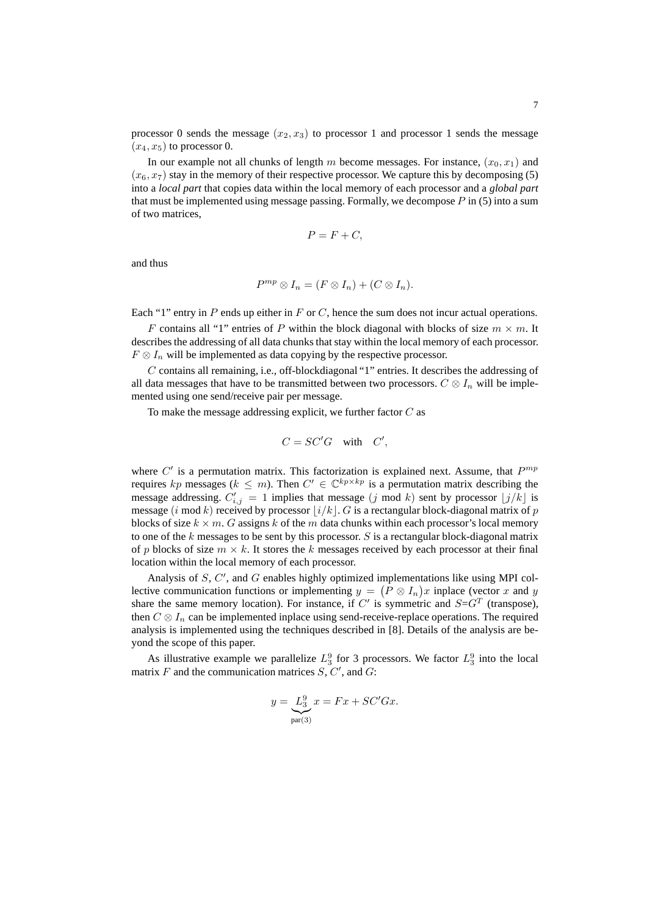processor 0 sends the message  $(x_2, x_3)$  to processor 1 and processor 1 sends the message  $(x_4, x_5)$  to processor 0.

In our example not all chunks of length m become messages. For instance,  $(x_0, x_1)$  and  $(x_6, x_7)$  stay in the memory of their respective processor. We capture this by decomposing (5) into a *local part* that copies data within the local memory of each processor and a *global part* that must be implemented using message passing. Formally, we decompose  $P$  in (5) into a sum of two matrices,

$$
P = F + C,
$$

and thus

$$
P^{mp} \otimes I_n = (F \otimes I_n) + (C \otimes I_n).
$$

Each "1" entry in  $P$  ends up either in  $F$  or  $C$ , hence the sum does not incur actual operations.

F contains all "1" entries of P within the block diagonal with blocks of size  $m \times m$ . It describes the addressing of all data chunks that stay within the local memory of each processor.  $F \otimes I_n$  will be implemented as data copying by the respective processor.

C contains all remaining, i.e., off-blockdiagonal "1" entries. It describes the addressing of all data messages that have to be transmitted between two processors.  $C \otimes I_n$  will be implemented using one send/receive pair per message.

To make the message addressing explicit, we further factor  $C$  as

$$
C = SC'G \quad \text{with} \quad C',
$$

where  $C'$  is a permutation matrix. This factorization is explained next. Assume, that  $P^{mp}$ requires kp messages ( $k \leq m$ ). Then  $C' \in \mathbb{C}^{kp \times kp}$  is a permutation matrix describing the message addressing.  $C'_{i,j} = 1$  implies that message  $(j \mod k)$  sent by processor  $\lfloor j/k \rfloor$  is message (i mod k) received by processor  $\lfloor i/k \rfloor$ . G is a rectangular block-diagonal matrix of p blocks of size  $k \times m$ . G assigns k of the m data chunks within each processor's local memory to one of the k messages to be sent by this processor.  $S$  is a rectangular block-diagonal matrix of p blocks of size  $m \times k$ . It stores the k messages received by each processor at their final location within the local memory of each processor.

Analysis of  $S$ ,  $C'$ , and  $G$  enables highly optimized implementations like using MPI collective communication functions or implementing  $y = (P \otimes I_n)x$  inplace (vector x and y share the same memory location). For instance, if C' is symmetric and  $S = G<sup>T</sup>$  (transpose), then  $C \otimes I_n$  can be implemented inplace using send-receive-replace operations. The required analysis is implemented using the techniques described in [8]. Details of the analysis are beyond the scope of this paper.

As illustrative example we parallelize  $L_3^9$  for 3 processors. We factor  $L_3^9$  into the local matrix  $F$  and the communication matrices  $S, C'$ , and  $G$ :

$$
y = \underbrace{L_3^9}_{\text{par}(3)} x = Fx + SC'Gx.
$$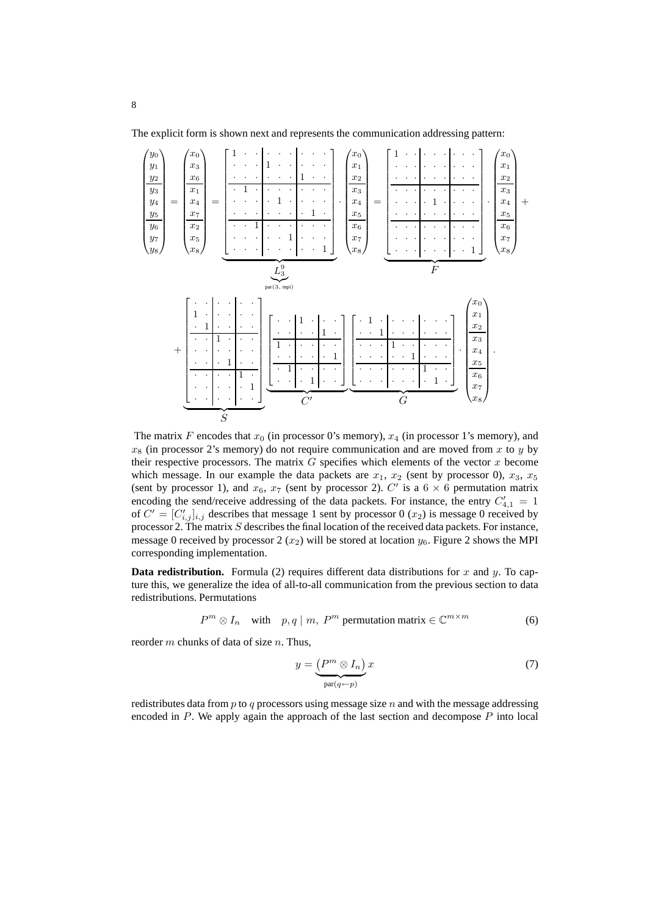The explicit form is shown next and represents the communication addressing pattern:

2

 $\overline{2}$ 

| $y_0$<br>$y_1$<br>$\mathcal{y}_2$<br>$y_3$<br>$\mathcal{Y}4$<br>$y_5\,$<br>$y_{\rm 6}$ | $\hspace*{0.4em} = \hspace*{0.4em}$ | $x_0$<br>$x_3\,$<br>$x_6$<br>$x_1$<br>$\boldsymbol{x}_4$<br>$\boldsymbol{x}_7$<br>$\boldsymbol{x}_2$ | $=$                                                   | ٠<br>$\bullet$<br>$\bullet$<br>1                                                   |                        | 1                                                                           | ٠                        | $x_0$<br>$\boldsymbol{x}_1$<br>$\boldsymbol{x}_2$<br>$x_3$<br>$\mathcal{x}_4$<br>$\bullet$<br>$x_5$<br>$x_6$ | $=$          |                | $\cdot$<br>$\bullet$ |          |           | $\cdot$                                                                                                                                      | $x_0$<br>$\boldsymbol{x}_1$<br>$\boldsymbol{x}_2$<br>$x_3$<br>$\mathcal{x}_4$<br>٠<br>$\boldsymbol{x}_5$<br>$x_6$ | $^{+}$ |
|----------------------------------------------------------------------------------------|-------------------------------------|------------------------------------------------------------------------------------------------------|-------------------------------------------------------|------------------------------------------------------------------------------------|------------------------|-----------------------------------------------------------------------------|--------------------------|--------------------------------------------------------------------------------------------------------------|--------------|----------------|----------------------|----------|-----------|----------------------------------------------------------------------------------------------------------------------------------------------|-------------------------------------------------------------------------------------------------------------------|--------|
| $\ensuremath{y_{7}}$<br>$\sqrt{y_8}$                                                   |                                     | $\boldsymbol{x}_5$<br>$\overline{x_8}$                                                               |                                                       |                                                                                    |                        | 1                                                                           |                          | $\boldsymbol{x}_7$<br>$\sqrt{x_8}$                                                                           |              |                |                      |          |           | 1                                                                                                                                            | $\boldsymbol{x}_7$<br>$\overline{x_8}$                                                                            |        |
|                                                                                        |                                     |                                                                                                      |                                                       |                                                                                    | $L_3^9$<br>par(3, mpi) |                                                                             |                          |                                                                                                              |              |                |                      | $\cal F$ |           | $[x_0]$                                                                                                                                      |                                                                                                                   |        |
|                                                                                        |                                     | 1<br>$\bullet$                                                                                       | $\mathbf{1}$<br>٠<br>1<br>$\bullet$<br>٠<br>$\bullet$ | $\bullet$<br>٠<br>٠<br>1<br>1<br>$\ddot{\phantom{0}}$<br>$\bullet$<br>1<br>$\cdot$ | 1                      | $\cdot$<br>$\bullet$<br>$\bullet$<br>$\bullet$<br>$\bullet$<br>1<br>1<br>C' | 1<br>٠<br>1<br>$\bullet$ |                                                                                                              | 1<br>$\cdot$ | $\overline{G}$ | $\bullet$<br>1       |          | $\bullet$ | $\boldsymbol{x}_1$<br>$\boldsymbol{x}_2$<br>$\boldsymbol{x}_3$<br>$\boldsymbol{x}_4$<br>$x_5$<br>$x_6$<br>$\boldsymbol{x}_7$<br>$\sqrt{x_8}$ | $\bullet$                                                                                                         |        |
|                                                                                        |                                     |                                                                                                      | $\boldsymbol{S}$                                      |                                                                                    |                        |                                                                             |                          |                                                                                                              |              |                |                      |          |           |                                                                                                                                              |                                                                                                                   |        |

The matrix F encodes that  $x_0$  (in processor 0's memory),  $x_4$  (in processor 1's memory), and  $x_8$  (in processor 2's memory) do not require communication and are moved from x to y by their respective processors. The matrix  $G$  specifies which elements of the vector  $x$  become which message. In our example the data packets are  $x_1$ ,  $x_2$  (sent by processor 0),  $x_3$ ,  $x_5$ (sent by processor 1), and  $x_6$ ,  $x_7$  (sent by processor 2). C' is a  $6 \times 6$  permutation matrix encoding the send/receive addressing of the data packets. For instance, the entry  $C'_{4,1} = 1$ of  $C' = [C'_{i,j}]_{i,j}$  describes that message 1 sent by processor 0  $(x_2)$  is message 0 received by processor 2. The matrix  $S$  describes the final location of the received data packets. For instance, message 0 received by processor 2  $(x_2)$  will be stored at location  $y_6$ . Figure 2 shows the MPI corresponding implementation.

**Data redistribution.** Formula (2) requires different data distributions for x and y. To capture this, we generalize the idea of all-to-all communication from the previous section to data redistributions. Permutations

$$
P^m \otimes I_n \quad \text{with} \quad p, q \mid m, P^m \text{ permutation matrix } \in \mathbb{C}^{m \times m} \tag{6}
$$

reorder  $m$  chunks of data of size  $n$ . Thus,

$$
y = \underbrace{\left(P^m \otimes I_n\right)}_{\text{par}(q \leftarrow p)} x \tag{7}
$$

redistributes data from  $p$  to q processors using message size  $n$  and with the message addressing encoded in  $P$ . We apply again the approach of the last section and decompose  $P$  into local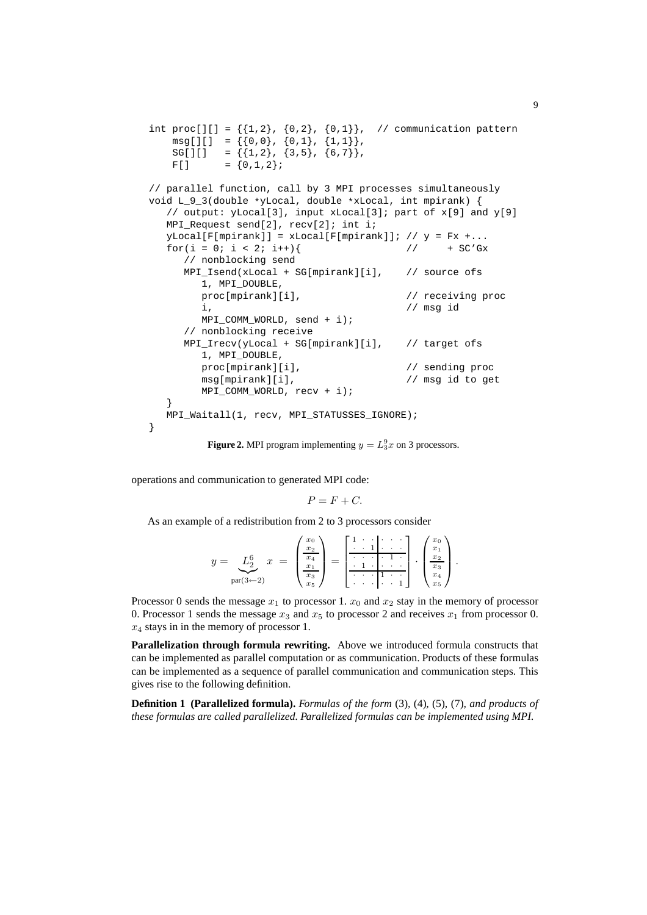```
int proc[]] = {1,2}, {0,2}, {0,1},, \}/ communication pattern
    \begin{array}{lcl} \mathfrak{msg}[ \; ] [ \; ] & = & \{ \{ 0 \, , 0 \} \, , \;\; \{ 0 \, , 1 \} \, , \;\; \{ 1 \, , 1 \} \} \, , \end{array}SG[ ][] = {{1,2}, {3,5}, {6,7}},
    F[1 = \{0, 1, 2\};// parallel function, call by 3 MPI processes simultaneously
void L_9_3(double *yLocal, double *xLocal, int mpirank) {
   // output: yLocal[3], input xLocal[3]; part of x[9] and y[9]
  MPI_Request send[2], recv[2]; int i;
  yLocal[F[mpirank]] = xLocal[F[mpirank]]; // y = Fx +...
   for(i = 0; i < 2; i++){ // + SC'Gx// nonblocking send
      MPI_Isend(xLocal + SG[mpirank][i], // source ofs
         1, MPI_DOUBLE,
         proc[mpirank][i], // receiving proc
         i, // msg id
         MPI COMM WORLD, send + i);
      // nonblocking receive
      MPI_Irecv(yLocal + SG[mpirank][i], // target ofs
         1, MPI_DOUBLE,
         proc[mpirank][i], \qquad \qquad \qquad \qquad \qquad// sending proc
         msg[mpirank][i], // msg id to get
         MPI_COMM_WORLD, recv + i);
   }
  MPI_Waitall(1, recv, MPI_STATUSSES_IGNORE);
}
```
**Figure 2.** MPI program implementing  $y = L_3^9 x$  on 3 processors.

operations and communication to generated MPI code:

 $P = F + C$ .

 $\sim$ 

 $\sim$ 

As an example of a redistribution from 2 to 3 processors consider

$$
y = L_2^6 \t x = \begin{pmatrix} x_0 \\ x_2 \\ x_4 \\ x_1 \\ x_2 \\ x_3 \end{pmatrix} = \begin{bmatrix} 1 & \cdots & \cdots & \cdots \\ \frac{\cdots & 1 & \cdots & \cdots \\ \frac{\cdots & 1 & \cdots & \cdots \\ \frac{\cdots & \cdots & \cdots & \cdots \\ \frac{\cdots & \cdots & \cdots & \cdots \\ \cdots & \cdots & \cdots & \cdots \\ \cdots & \cdots & \cdots & \cdots \end{bmatrix} \cdot \begin{pmatrix} x_0 \\ x_1 \\ x_2 \\ x_3 \\ x_4 \\ x_5 \end{pmatrix}.
$$

 $\sim 10$ 

Processor 0 sends the message  $x_1$  to processor 1.  $x_0$  and  $x_2$  stay in the memory of processor 0. Processor 1 sends the message  $x_3$  and  $x_5$  to processor 2 and receives  $x_1$  from processor 0.  $x_4$  stays in in the memory of processor 1.

**Parallelization through formula rewriting.** Above we introduced formula constructs that can be implemented as parallel computation or as communication. Products of these formulas can be implemented as a sequence of parallel communication and communication steps. This gives rise to the following definition.

**Definition 1 (Parallelized formula).** *Formulas of the form* (3)*,* (4)*,* (5)*,* (7)*, and products of these formulas are called parallelized. Parallelized formulas can be implemented using MPI.*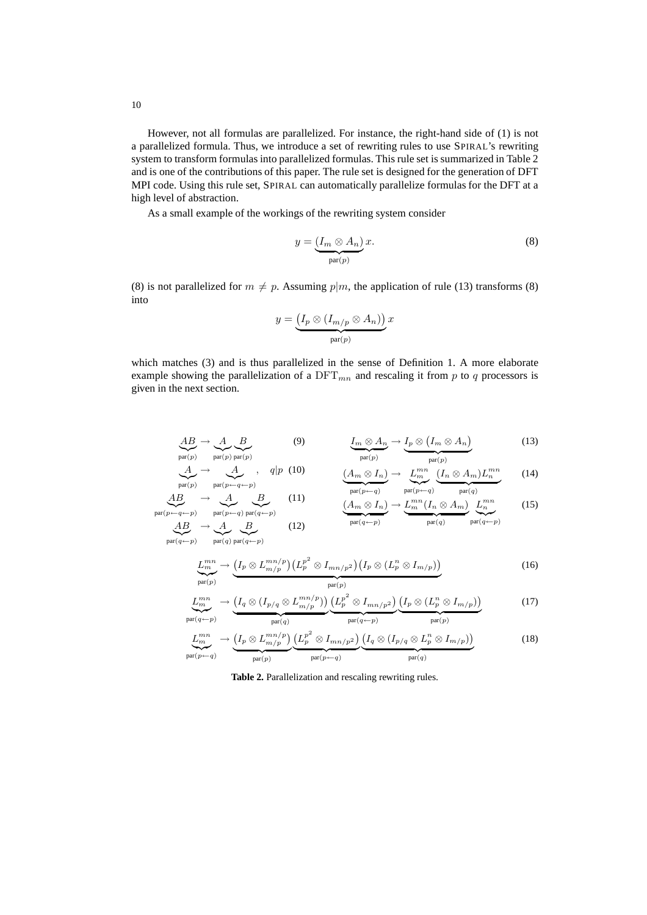However, not all formulas are parallelized. For instance, the right-hand side of (1) is not a parallelized formula. Thus, we introduce a set of rewriting rules to use SPIRAL's rewriting system to transform formulas into parallelized formulas. This rule set is summarized in Table 2 and is one of the contributions of this paper. The rule set is designed for the generation of DFT MPI code. Using this rule set, SPIRAL can automatically parallelize formulas for the DFT at a high level of abstraction.

As a small example of the workings of the rewriting system consider

$$
y = \underbrace{(I_m \otimes A_n)}_{\text{par}(p)} x.
$$
 (8)

(8) is not parallelized for  $m \neq p$ . Assuming  $p|m$ , the application of rule (13) transforms (8) into

$$
y = \underbrace{(I_p \otimes (I_{m/p} \otimes A_n))}_{\text{par}(p)} x
$$

which matches (3) and is thus parallelized in the sense of Definition 1. A more elaborate example showing the parallelization of a  $DFT_{mn}$  and rescaling it from p to q processors is given in the next section.

$$
\underbrace{AB}_{\text{par}(p)} \to \underbrace{A}_{\text{par}(p)\text{ par}(p)} \underbrace{B}_{\text{par}(p)} \qquad (9) \qquad \underbrace{I_m \otimes A_n}_{\text{par}(p)} \to \underbrace{I_p \otimes (I_m \otimes A_n)}_{\text{par}(p)} \qquad (13)
$$

$$
\underbrace{A}_{\text{par}(p)} \rightarrow \underbrace{A}_{\text{par}(p \leftarrow q \leftarrow p)} , \quad q|p \quad (10) \qquad \underbrace{(A_m \otimes I_n)}_{\text{par}(p \leftarrow q)} \rightarrow \underbrace{L_m^{mn}}_{\text{par}(p \leftarrow q)} \underbrace{(I_n \otimes A_m) L_n^{mn}}_{\text{par}(q)} \qquad (14)
$$

$$
\underbrace{AB}_{\text{par}(p \leftarrow q \leftarrow p)} \xrightarrow{\text{par}(p \leftarrow q) \text{par}(q \leftarrow p)}_{\text{par}(p \leftarrow q) \text{par}(q \leftarrow p)} \underbrace{(11)}_{\text{par}(q \leftarrow p)} \xrightarrow{\text{(11)}}_{\text{par}(q \leftarrow p)} \xrightarrow{\text{(12)}} \underbrace{L_m^{mn}(I_n \otimes A_m)}_{\text{par}(q)} \underbrace{L_n^{mn}}_{\text{par}(q \leftarrow p)} \tag{15}
$$

 $\sum_{\text{par}(q \leftarrow p)}$  $\sum_{\text{par}(q) \text{ par}(q \leftarrow p)}$ 

$$
\underbrace{L_m^{mn}}_{\text{par}(p)} \to \underbrace{\left(I_p \otimes L_{m/p}^{mn/p}\right)\left(L_p^{p^2} \otimes I_{mn/p^2}\right)\left(I_p \otimes \left(L_p^{n} \otimes I_{m/p}\right)\right)}_{\text{par}(p)}\tag{16}
$$

$$
\underbrace{L_m^{mn}}_{\text{par}(q \leftarrow p)} \rightarrow \underbrace{\left(I_q \otimes (I_{p/q} \otimes L_{m/p}^{mn/p})\right)}_{\text{par}(q)} \underbrace{\left(L_p^{p^2} \otimes I_{mn/p^2}\right)}_{\text{par}(q \leftarrow p)} \underbrace{\left(I_p \otimes (L_p^n \otimes I_{m/p})\right)}_{\text{par}(p)}
$$
(17)

$$
\underbrace{L_m^{mn}}_{\text{par}(p \leftarrow q)} \rightarrow \underbrace{\left(I_p \otimes L_{m/p}^{mn/p}\right)}_{\text{par}(p)} \underbrace{\left(L_p^{p^2} \otimes I_{mn/p^2}\right)}_{\text{par}(p \leftarrow q)} \underbrace{\left(I_q \otimes \left(I_{p/q} \otimes L_p^n \otimes I_{m/p}\right)\right)}_{\text{par}(q)}
$$
(18)

**Table 2.** Parallelization and rescaling rewriting rules.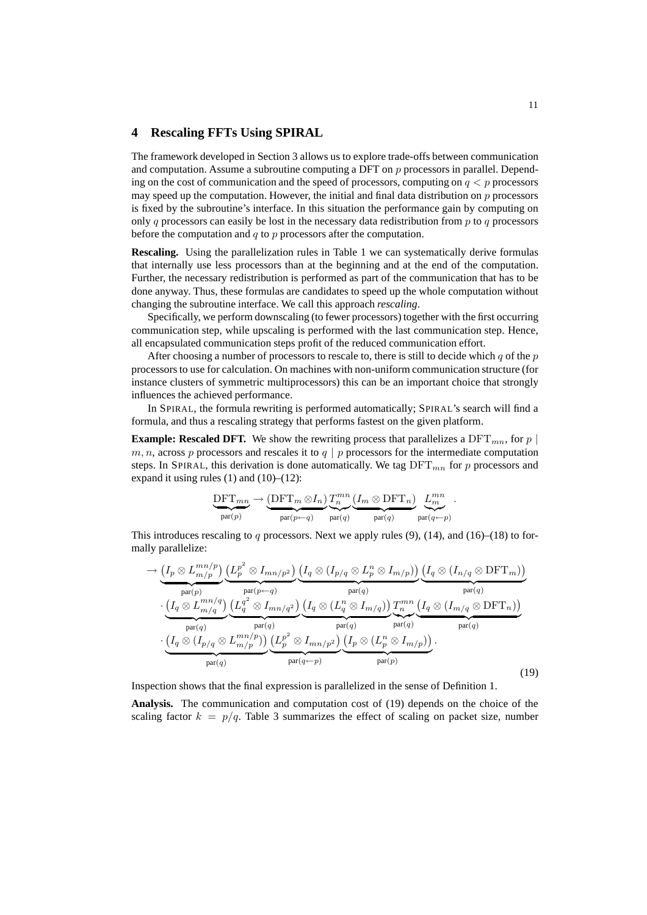#### **4 Rescaling FFTs Using SPIRAL**

The framework developed in Section 3 allows us to explore trade-offs between communication and computation. Assume a subroutine computing a DFT on  $p$  processors in parallel. Depending on the cost of communication and the speed of processors, computing on  $q < p$  processors may speed up the computation. However, the initial and final data distribution on  $p$  processors is fixed by the subroutine's interface. In this situation the performance gain by computing on only q processors can easily be lost in the necessary data redistribution from  $p$  to  $q$  processors before the computation and  $q$  to  $p$  processors after the computation.

**Rescaling.** Using the parallelization rules in Table 1 we can systematically derive formulas that internally use less processors than at the beginning and at the end of the computation. Further, the necessary redistribution is performed as part of the communication that has to be done anyway. Thus, these formulas are candidates to speed up the whole computation without changing the subroutine interface. We call this approach *rescaling*.

Specifically, we perform downscaling (to fewer processors) together with the first occurring communication step, while upscaling is performed with the last communication step. Hence, all encapsulated communication steps profit of the reduced communication effort.

After choosing a number of processors to rescale to, there is still to decide which q of the  $p$ processors to use for calculation. On machines with non-uniform communication structure (for instance clusters of symmetric multiprocessors) this can be an important choice that strongly influences the achieved performance.

In SPIRAL, the formula rewriting is performed automatically; SPIRAL's search will find a formula, and thus a rescaling strategy that performs fastest on the given platform.

**Example: Rescaled DFT.** We show the rewriting process that parallelizes a DFT<sub>mn</sub>, for p |  $m, n$ , across p processors and rescales it to  $q | p$  processors for the intermediate computation steps. In SPIRAL, this derivation is done automatically. We tag  $DFT_{mn}$  for p processors and expand it using rules  $(1)$  and  $(10)–(12)$ :

$$
\underbrace{\mathrm{DFT}_{mn}}_{\mathrm{par}(p)} \rightarrow \underbrace{\left(\mathrm{DFT}_{m} \otimes I_n\right)}_{\mathrm{par}(p \leftarrow q)} \underbrace{T_n^{mn}}_{\mathrm{par}(q)} \underbrace{\left(I_m \otimes \mathrm{DFT}_n\right)}_{\mathrm{par}(q)} \underbrace{L_m^{mn}}_{\mathrm{par}(q \leftarrow p)}.
$$

This introduces rescaling to q processors. Next we apply rules  $(9)$ ,  $(14)$ , and  $(16)$ – $(18)$  to formally parallelize:

$$
\frac{\left(I_p \otimes L_{m/p}^{mn/p}\right)}{\operatorname{par}(p)} \frac{\left(L_p^{p^2} \otimes I_{mn/p^2}\right)}{\operatorname{par}(p-q)} \frac{\left(I_q \otimes (I_{p/q} \otimes L_p^n \otimes I_{m/p})\right)}{\operatorname{par}(q)} \frac{\left(I_q \otimes (I_{n/q} \otimes \text{DFT}_m)\right)}{\operatorname{par}(q)} \cdot \frac{\left(I_q \otimes L_{m/q}^{mn/q}\right)}{\operatorname{par}(q)} \frac{\left(L_q^{q^2} \otimes I_{mn/q^2}\right)}{\operatorname{par}(q)} \frac{\left(I_q \otimes (L_q^n \otimes I_{m/q})\right)}{\operatorname{par}(q)} \frac{\operatorname{par}(q)}{\operatorname{par}(q)} \frac{\operatorname{par}(q)}{\operatorname{par}(q)} \cdot \frac{\left(I_q \otimes (I_{m/q} \otimes \text{DFT}_n)\right)}{\operatorname{par}(q)} \cdot \frac{\left(I_q \otimes (I_{p/q} \otimes L_{m/p}^{mn/p})\right)}{\operatorname{par}(q)} \frac{\left(L_p^{p^2} \otimes I_{mn/p^2}\right)}{\operatorname{par}(q-q)} \frac{\left(I_p \otimes (L_p^n \otimes I_{m/p})\right)}{\operatorname{par}(q)} \cdot \frac{\left(I_p \otimes (I_{p/q} \otimes L_{m/p}^{mn/p})\right)}{\operatorname{par}(q)} \cdot \frac{\left(I_p \otimes (I_{p/q} \otimes I_{m/p})\right)}{\operatorname{par}(q)} \cdot \frac{\left(I_p \otimes (I_{p/q} \otimes I_{m/p})\right)}{\operatorname{par}(q)} \cdot \frac{\left(I_p \otimes (I_{p/q} \otimes I_{m/p})\right)}{\operatorname{par}(q)} \cdot \frac{\left(I_p \otimes (I_{p/q} \otimes L_p^{mn/p})\right)}{\operatorname{par}(q)} \cdot \frac{\left(I_p \otimes (I_{p/q} \otimes L_p^{mn/p})\right)}{\operatorname{par}(q)} \cdot \frac{\left(I_p \otimes (I_{p/q} \otimes L_p^{mn/p})\right)}{\operatorname{par}(q)} \cdot \frac{\left(I_p \otimes (I_{p/q} \otimes L_p^{mn/p})\right)}{\operatorname{par}(q)} \cdot \frac{\left(I_p \otimes (I_{p/q} \otimes L_p^{mn/p})\right)}{\operatorname{par}(q)} \cdot \frac{\left(I_p \otimes (I_{p/q} \otimes
$$

Inspection shows that the final expression is parallelized in the sense of Definition 1.

**Analysis.** The communication and computation cost of (19) depends on the choice of the scaling factor  $k = p/q$ . Table 3 summarizes the effect of scaling on packet size, number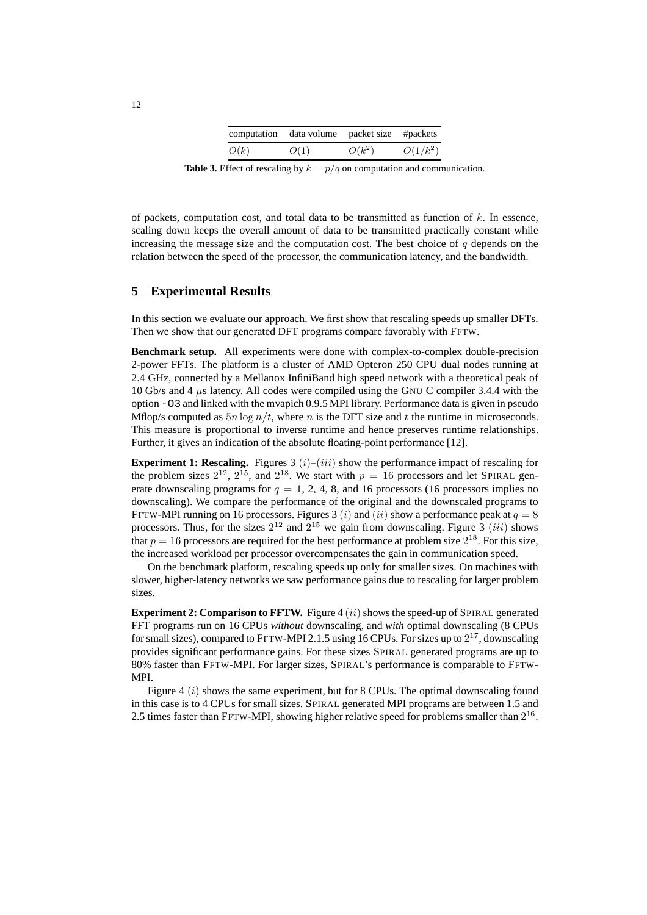|      | computation data volume packet size #packets |          |            |
|------|----------------------------------------------|----------|------------|
| O(k) | O(1)                                         | $O(k^2)$ | $O(1/k^2)$ |

**Table 3.** Effect of rescaling by  $k = p/q$  on computation and communication.

of packets, computation cost, and total data to be transmitted as function of  $k$ . In essence, scaling down keeps the overall amount of data to be transmitted practically constant while increasing the message size and the computation cost. The best choice of  $q$  depends on the relation between the speed of the processor, the communication latency, and the bandwidth.

#### **5 Experimental Results**

In this section we evaluate our approach. We first show that rescaling speeds up smaller DFTs. Then we show that our generated DFT programs compare favorably with FFTW.

**Benchmark setup.** All experiments were done with complex-to-complex double-precision 2-power FFTs. The platform is a cluster of AMD Opteron 250 CPU dual nodes running at 2.4 GHz, connected by a Mellanox InfiniBand high speed network with a theoretical peak of 10 Gb/s and 4  $\mu$ s latency. All codes were compiled using the GNU C compiler 3.4.4 with the option -O3 and linked with the mvapich 0.9.5 MPI library. Performance data is given in pseudo Mflop/s computed as  $5n \log n/t$ , where n is the DFT size and t the runtime in microseconds. This measure is proportional to inverse runtime and hence preserves runtime relationships. Further, it gives an indication of the absolute floating-point performance [12].

**Experiment 1: Rescaling.** Figures 3  $(i)$ – $(iii)$  show the performance impact of rescaling for the problem sizes  $2^{12}$ ,  $2^{15}$ , and  $2^{18}$ . We start with  $p = 16$  processors and let SPIRAL generate downscaling programs for  $q = 1, 2, 4, 8$ , and 16 processors (16 processors implies no downscaling). We compare the performance of the original and the downscaled programs to FFTW-MPI running on 16 processors. Figures 3 (*i*) and (*ii*) show a performance peak at  $q = 8$ processors. Thus, for the sizes  $2^{12}$  and  $2^{15}$  we gain from downscaling. Figure 3 (*iii*) shows that  $p = 16$  processors are required for the best performance at problem size  $2^{18}$ . For this size, the increased workload per processor overcompensates the gain in communication speed.

On the benchmark platform, rescaling speeds up only for smaller sizes. On machines with slower, higher-latency networks we saw performance gains due to rescaling for larger problem sizes.

**Experiment 2: Comparison to FFTW.** Figure  $4 (ii)$  shows the speed-up of SPIRAL generated FFT programs run on 16 CPUs *without* downscaling, and *with* optimal downscaling (8 CPUs for small sizes), compared to FFTW-MPI 2.1.5 using 16 CPUs. For sizes up to  $2^{17}$ , downscaling provides significant performance gains. For these sizes SPIRAL generated programs are up to 80% faster than FFTW-MPI. For larger sizes, SPIRAL's performance is comparable to FFTW-MPI.

Figure 4  $(i)$  shows the same experiment, but for 8 CPUs. The optimal downscaling found in this case is to 4 CPUs for small sizes. SPIRAL generated MPI programs are between 1.5 and 2.5 times faster than FFTW-MPI, showing higher relative speed for problems smaller than  $2^{16}$ .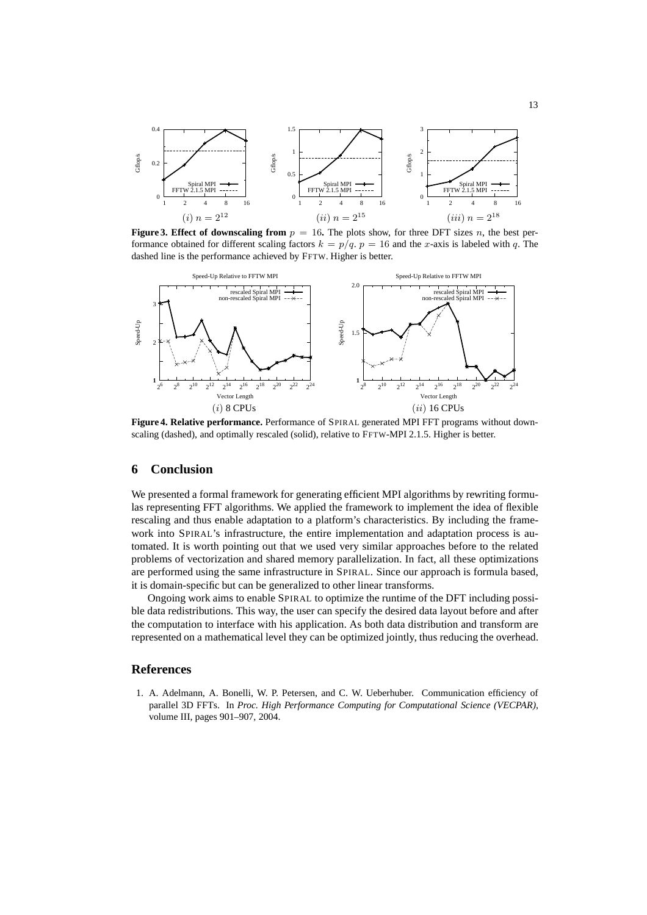

**Figure 3. Effect of downscaling from**  $p = 16$ **. The plots show, for three DFT sizes n, the best per**formance obtained for different scaling factors  $k = p/q$ .  $p = 16$  and the x-axis is labeled with q. The dashed line is the performance achieved by FFTW. Higher is better.



**Figure 4. Relative performance.** Performance of SPIRAL generated MPI FFT programs without downscaling (dashed), and optimally rescaled (solid), relative to FFTW-MPI 2.1.5. Higher is better.

## **6 Conclusion**

We presented a formal framework for generating efficient MPI algorithms by rewriting formulas representing FFT algorithms. We applied the framework to implement the idea of flexible rescaling and thus enable adaptation to a platform's characteristics. By including the framework into SPIRAL's infrastructure, the entire implementation and adaptation process is automated. It is worth pointing out that we used very similar approaches before to the related problems of vectorization and shared memory parallelization. In fact, all these optimizations are performed using the same infrastructure in SPIRAL. Since our approach is formula based, it is domain-specific but can be generalized to other linear transforms.

Ongoing work aims to enable SPIRAL to optimize the runtime of the DFT including possible data redistributions. This way, the user can specify the desired data layout before and after the computation to interface with his application. As both data distribution and transform are represented on a mathematical level they can be optimized jointly, thus reducing the overhead.

#### **References**

1. A. Adelmann, A. Bonelli, W. P. Petersen, and C. W. Ueberhuber. Communication efficiency of parallel 3D FFTs. In *Proc. High Performance Computing for Computational Science (VECPAR)*, volume III, pages 901–907, 2004.